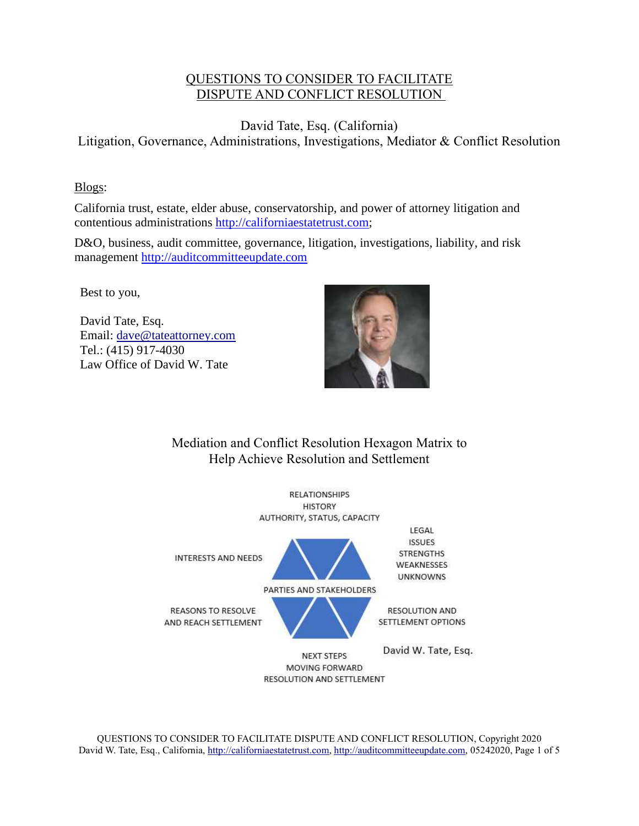## QUESTIONS TO CONSIDER TO FACILITATE DISPUTE AND CONFLICT RESOLUTION

David Tate, Esq. (California) Litigation, Governance, Administrations, Investigations, Mediator & Conflict Resolution

## Blogs:

California trust, estate, elder abuse, conservatorship, and power of attorney litigation and contentious administrations [http://californiaestatetrust.com;](http://californiaestatetrust.com/)

D&O, business, audit committee, governance, litigation, investigations, liability, and risk management [http://auditcommitteeupdate.com](http://auditcommitteeupdate.com/)

Best to you,

David Tate, Esq. Email: [dave@tateattorney.com](mailto:dave@tateattorney.com) Tel.: (415) 917-4030 Law Office of David W. Tate



## Mediation and Conflict Resolution Hexagon Matrix to Help Achieve Resolution and Settlement



QUESTIONS TO CONSIDER TO FACILITATE DISPUTE AND CONFLICT RESOLUTION, Copyright 2020 David W. Tate, Esq., California, [http://californiaestatetrust.com,](http://californiaestatetrust.com/) [http://auditcommitteeupdate.com,](http://auditcommitteeupdate.com/) 05242020, Page 1 of 5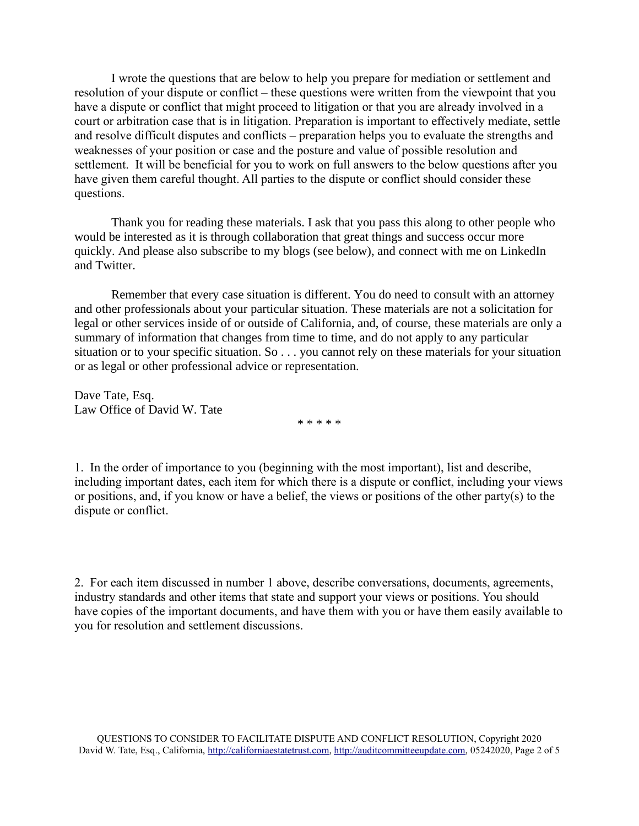I wrote the questions that are below to help you prepare for mediation or settlement and resolution of your dispute or conflict – these questions were written from the viewpoint that you have a dispute or conflict that might proceed to litigation or that you are already involved in a court or arbitration case that is in litigation. Preparation is important to effectively mediate, settle and resolve difficult disputes and conflicts – preparation helps you to evaluate the strengths and weaknesses of your position or case and the posture and value of possible resolution and settlement. It will be beneficial for you to work on full answers to the below questions after you have given them careful thought. All parties to the dispute or conflict should consider these questions.

Thank you for reading these materials. I ask that you pass this along to other people who would be interested as it is through collaboration that great things and success occur more quickly. And please also subscribe to my blogs (see below), and connect with me on LinkedIn and Twitter.

Remember that every case situation is different. You do need to consult with an attorney and other professionals about your particular situation. These materials are not a solicitation for legal or other services inside of or outside of California, and, of course, these materials are only a summary of information that changes from time to time, and do not apply to any particular situation or to your specific situation. So . . . you cannot rely on these materials for your situation or as legal or other professional advice or representation.

Dave Tate, Esq. Law Office of David W. Tate

\* \* \* \* \*

1. In the order of importance to you (beginning with the most important), list and describe, including important dates, each item for which there is a dispute or conflict, including your views or positions, and, if you know or have a belief, the views or positions of the other party(s) to the dispute or conflict.

2. For each item discussed in number 1 above, describe conversations, documents, agreements, industry standards and other items that state and support your views or positions. You should have copies of the important documents, and have them with you or have them easily available to you for resolution and settlement discussions.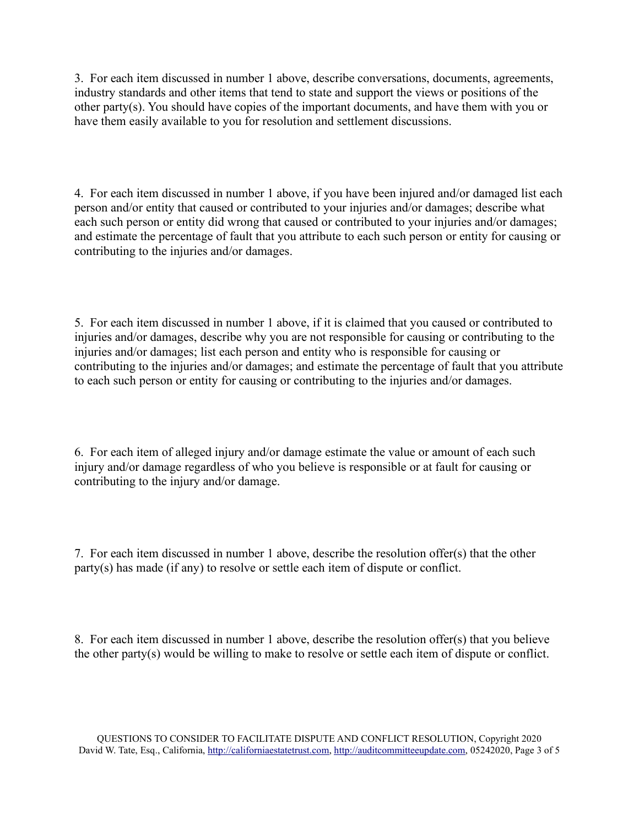3. For each item discussed in number 1 above, describe conversations, documents, agreements, industry standards and other items that tend to state and support the views or positions of the other party(s). You should have copies of the important documents, and have them with you or have them easily available to you for resolution and settlement discussions.

4. For each item discussed in number 1 above, if you have been injured and/or damaged list each person and/or entity that caused or contributed to your injuries and/or damages; describe what each such person or entity did wrong that caused or contributed to your injuries and/or damages; and estimate the percentage of fault that you attribute to each such person or entity for causing or contributing to the injuries and/or damages.

5. For each item discussed in number 1 above, if it is claimed that you caused or contributed to injuries and/or damages, describe why you are not responsible for causing or contributing to the injuries and/or damages; list each person and entity who is responsible for causing or contributing to the injuries and/or damages; and estimate the percentage of fault that you attribute to each such person or entity for causing or contributing to the injuries and/or damages.

6. For each item of alleged injury and/or damage estimate the value or amount of each such injury and/or damage regardless of who you believe is responsible or at fault for causing or contributing to the injury and/or damage.

7. For each item discussed in number 1 above, describe the resolution offer(s) that the other party(s) has made (if any) to resolve or settle each item of dispute or conflict.

8. For each item discussed in number 1 above, describe the resolution offer(s) that you believe the other party(s) would be willing to make to resolve or settle each item of dispute or conflict.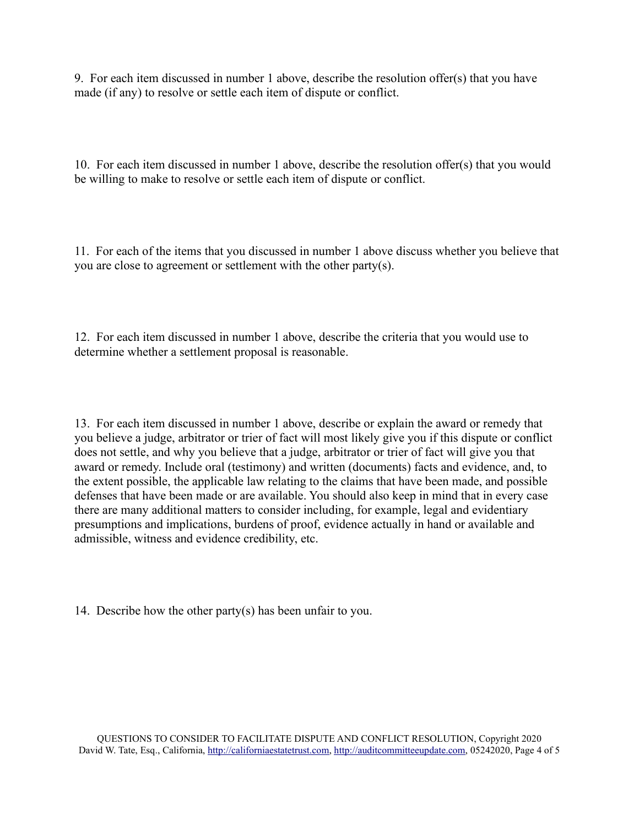9. For each item discussed in number 1 above, describe the resolution offer(s) that you have made (if any) to resolve or settle each item of dispute or conflict.

10. For each item discussed in number 1 above, describe the resolution offer(s) that you would be willing to make to resolve or settle each item of dispute or conflict.

11. For each of the items that you discussed in number 1 above discuss whether you believe that you are close to agreement or settlement with the other party(s).

12. For each item discussed in number 1 above, describe the criteria that you would use to determine whether a settlement proposal is reasonable.

13. For each item discussed in number 1 above, describe or explain the award or remedy that you believe a judge, arbitrator or trier of fact will most likely give you if this dispute or conflict does not settle, and why you believe that a judge, arbitrator or trier of fact will give you that award or remedy. Include oral (testimony) and written (documents) facts and evidence, and, to the extent possible, the applicable law relating to the claims that have been made, and possible defenses that have been made or are available. You should also keep in mind that in every case there are many additional matters to consider including, for example, legal and evidentiary presumptions and implications, burdens of proof, evidence actually in hand or available and admissible, witness and evidence credibility, etc.

14. Describe how the other party(s) has been unfair to you.